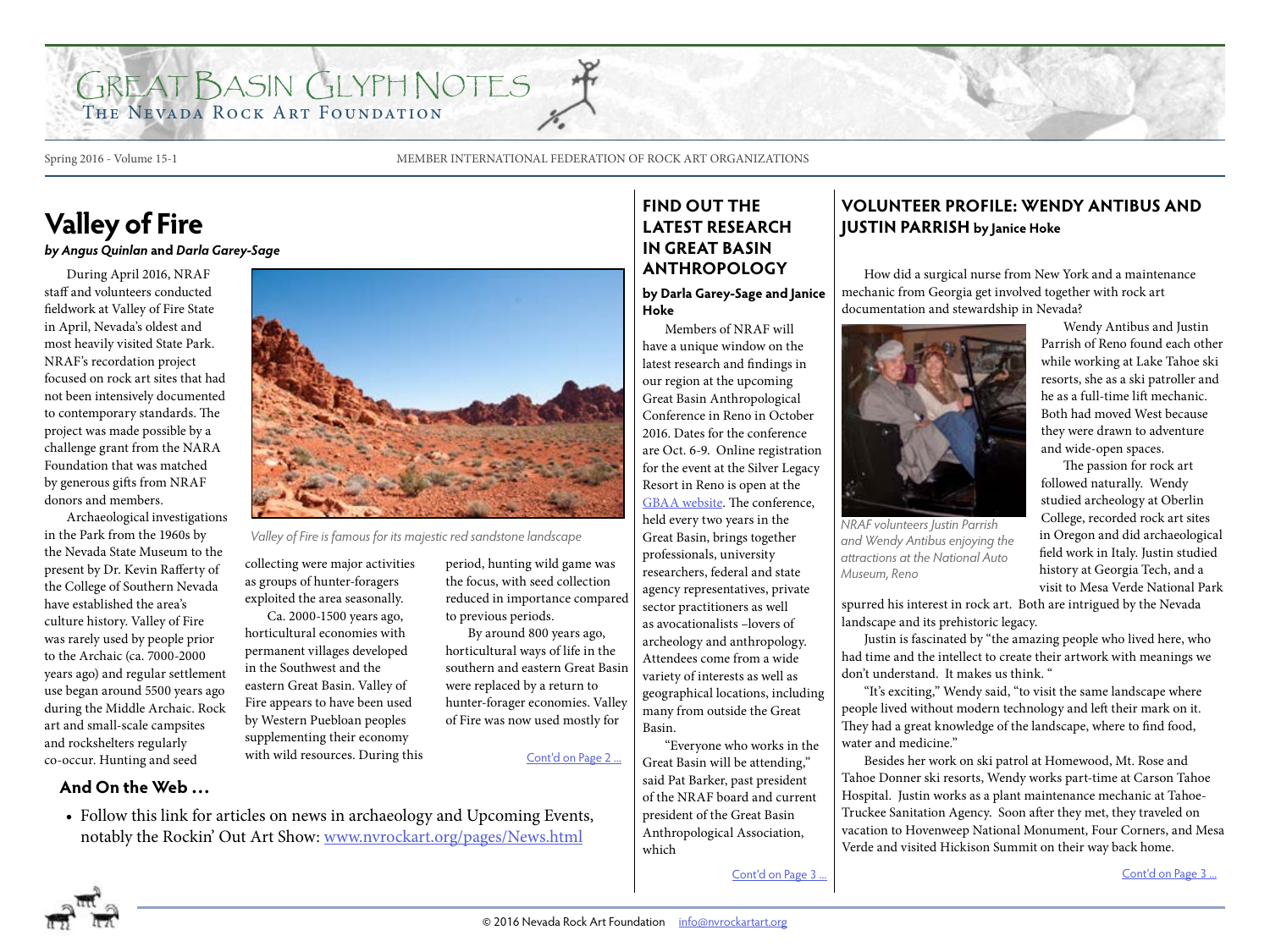## GREAT BASIN GLYPH NOTES THE NEVADA ROCK ART FOUNDATION

Spring 2016 - Volume 15-1 MEMBER INTERNATIONAL FEDERATION OF ROCK ART ORGANIZATIONS

## **Valley of Fire**

*by Angus Quinlan* **and** *Darla Garey-Sage*

During April 2016, NRAF staff and volunteers conducted fieldwork at Valley of Fire State in April, Nevada's oldest and most heavily visited State Park. NRAF's recordation project focused on rock art sites that had not been intensively documented to contemporary standards. The project was made possible by a challenge grant from the NARA Foundation that was matched by generous gifts from NRAF donors and members.

Archaeological investigations in the Park from the 1960s by the Nevada State Museum to the present by Dr. Kevin Rafferty of the College of Southern Nevada have established the area's culture history. Valley of Fire was rarely used by people prior to the Archaic (ca. 7000-2000 years ago) and regular settlement use began around 5500 years ago during the Middle Archaic. Rock art and small-scale campsites and rockshelters regularly co-occur. Hunting and seed

**And On the Web …**



collecting were major activities as groups of hunter-foragers exploited the area seasonally.

Ca. 2000-1500 years ago, horticultural economies with permanent villages developed in the Southwest and the eastern Great Basin. Valley of Fire appears to have been used by Western Puebloan peoples supplementing their economy with wild resources. During this period, hunting wild game was the focus, with seed collection reduced in importance compared to previous periods.

By around 800 years ago, horticultural ways of life in the southern and eastern Great Basin were replaced by a return to hunter-forager economies. Valley of Fire was now used mostly for

[Cont'd on Page 2](#page-1-0) ...

• Follow this link for articles on news in archaeology and Upcoming Events, notably the Rockin' Out Art Show: [www.nvrockart.org/pages/News.html](http://www.nvrockart.org/pages/News.html)

### **FIND OUT THE LATEST RESEARCH IN GREAT BASIN ANTHROPOLOGY**

**by Darla Garey-Sage and Janice Hoke** 

Members of NRAF will have a unique window on the latest research and findings in our region at the upcoming Great Basin Anthropological Conference in Reno in October 2016. Dates for the conference are Oct. 6-9. Online registration for the event at the Silver Legacy Resort in Reno is open at the [GBAA website.](http://greatbasinanthropologicalassociation.org/) The conference, held every two years in the Great Basin, brings together professionals, university researchers, federal and state agency representatives, private sector practitioners as well as avocationalists –lovers of archeology and anthropology. Attendees come from a wide variety of interests as well as geographical locations, including many from outside the Great Basin. Valley of Fire is famous for its majestic red sandstone landscape **and Capacity Creat Basin, brings together** *NRAF volunteers Justin Parrish Valley of Fire is famous for its majestic red sandstone landscape* **Great Basi** 

"Everyone who works in the Great Basin will be attending," said Pat Barker, past president of the NRAF board and current president of the Great Basin Anthropological Association, which

### **VOLUNTEER PROFILE: WENDY ANTIBUS AND JUSTIN PARRISH by Janice Hoke**

How did a surgical nurse from New York and a maintenance mechanic from Georgia get involved together with rock art documentation and stewardship in Nevada?



*and Wendy Antibus enjoying the attractions at the National Auto Museum, Reno*

spurred his interest in rock art. Both are intrigued by the Nevada landscape and its prehistoric legacy.

Justin is fascinated by "the amazing people who lived here, who had time and the intellect to create their artwork with meanings we don't understand. It makes us think. "

"It's exciting," Wendy said, "to visit the same landscape where people lived without modern technology and left their mark on it. They had a great knowledge of the landscape, where to find food, water and medicine."

Besides her work on ski patrol at Homewood, Mt. Rose and Tahoe Donner ski resorts, Wendy works part-time at Carson Tahoe Hospital. Justin works as a plant maintenance mechanic at Tahoe-Truckee Sanitation Agency. Soon after they met, they traveled on vacation to Hovenweep National Monument, Four Corners, and Mesa Verde and visited Hickison Summit on their way back home.

[Cont'd on Page](#page-2-0) 3 ...

they were drawn to adventure and wide-open spaces. The passion for rock art followed naturally. Wendy studied archeology at Oberlin College, recorded rock art sites in Oregon and did archaeological

field work in Italy. Justin studied history at Georgia Tech, and a visit to Mesa Verde National Park

Wendy Antibus and Justin Parrish of Reno found each other while working at Lake Tahoe ski resorts, she as a ski patroller and he as a full-time lift mechanic. Both had moved West because

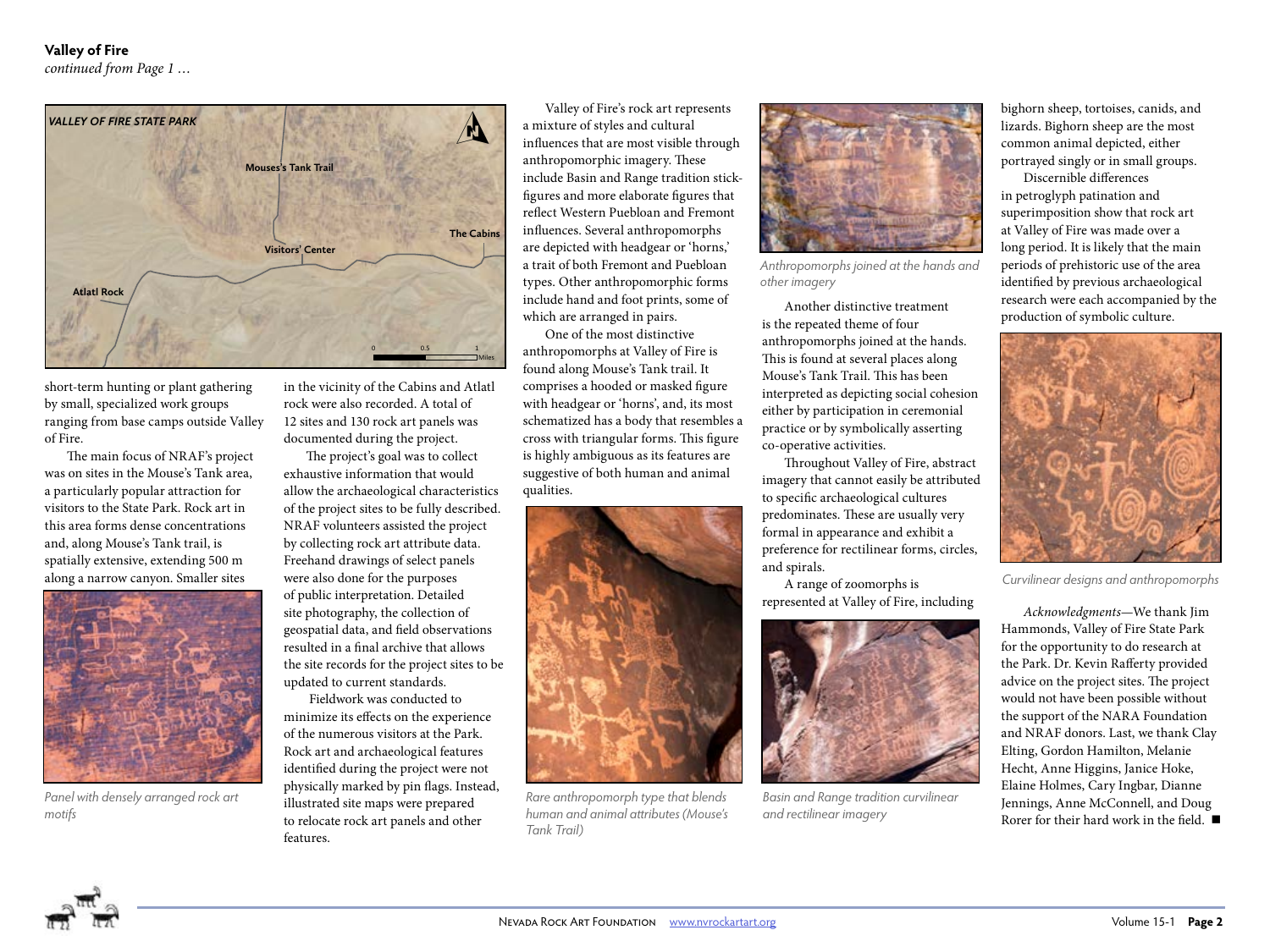<span id="page-1-0"></span>

short-term hunting or plant gathering by small, specialized work groups ranging from base camps outside Valley of Fire.

The main focus of NRAF's project was on sites in the Mouse's Tank area, a particularly popular attraction for visitors to the State Park. Rock art in this area forms dense concentrations and, along Mouse's Tank trail, is spatially extensive, extending 500 m along a narrow canyon. Smaller sites



*Panel with densely arranged rock art motifs*

in the vicinity of the Cabins and Atlatl rock were also recorded. A total of 12 sites and 130 rock art panels was documented during the project.

The project's goal was to collect exhaustive information that would allow the archaeological characteristics of the project sites to be fully described. NRAF volunteers assisted the project by collecting rock art attribute data. Freehand drawings of select panels were also done for the purposes of public interpretation. Detailed site photography, the collection of geospatial data, and field observations resulted in a final archive that allows the site records for the project sites to be updated to current standards.

 Fieldwork was conducted to minimize its effects on the experience of the numerous visitors at the Park. Rock art and archaeological features identified during the project were not physically marked by pin flags. Instead, illustrated site maps were prepared to relocate rock art panels and other features.

Valley of Fire's rock art represents a mixture of styles and cultural influences that are most visible through anthropomorphic imagery. These include Basin and Range tradition stickfigures and more elaborate figures that reflect Western Puebloan and Fremont influences. Several anthropomorphs are depicted with headgear or 'horns,' a trait of both Fremont and Puebloan types. Other anthropomorphic forms include hand and foot prints, some of which are arranged in pairs.

One of the most distinctive anthropomorphs at Valley of Fire is found along Mouse's Tank trail. It comprises a hooded or masked figure with headgear or 'horns', and, its most schematized has a body that resembles a cross with triangular forms. This figure is highly ambiguous as its features are suggestive of both human and animal qualities.



*Rare anthropomorph type that blends human and animal attributes (Mouse's Tank Trail)*



*Anthropomorphs joined at the hands and other imagery*

Another distinctive treatment is the repeated theme of four anthropomorphs joined at the hands. This is found at several places along Mouse's Tank Trail. This has been interpreted as depicting social cohesion either by participation in ceremonial practice or by symbolically asserting co-operative activities.

Throughout Valley of Fire, abstract imagery that cannot easily be attributed to specific archaeological cultures predominates. These are usually very formal in appearance and exhibit a preference for rectilinear forms, circles, and spirals.

A range of zoomorphs is represented at Valley of Fire, including



*Basin and Range tradition curvilinear and rectilinear imagery*

bighorn sheep, tortoises, canids, and lizards. Bighorn sheep are the most common animal depicted, either portrayed singly or in small groups.

Discernible differences in petroglyph patination and superimposition show that rock art at Valley of Fire was made over a long period. It is likely that the main periods of prehistoric use of the area identified by previous archaeological research were each accompanied by the production of symbolic culture.



*Curvilinear designs and anthropomorphs*

*Acknowledgments*—We thank Jim Hammonds, Valley of Fire State Park for the opportunity to do research at the Park. Dr. Kevin Rafferty provided advice on the project sites. The project would not have been possible without the support of the NARA Foundation and NRAF donors. Last, we thank Clay Elting, Gordon Hamilton, Melanie Hecht, Anne Higgins, Janice Hoke, Elaine Holmes, Cary Ingbar, Dianne Jennings, Anne McConnell, and Doug Rorer for their hard work in the field.  $\blacksquare$ 

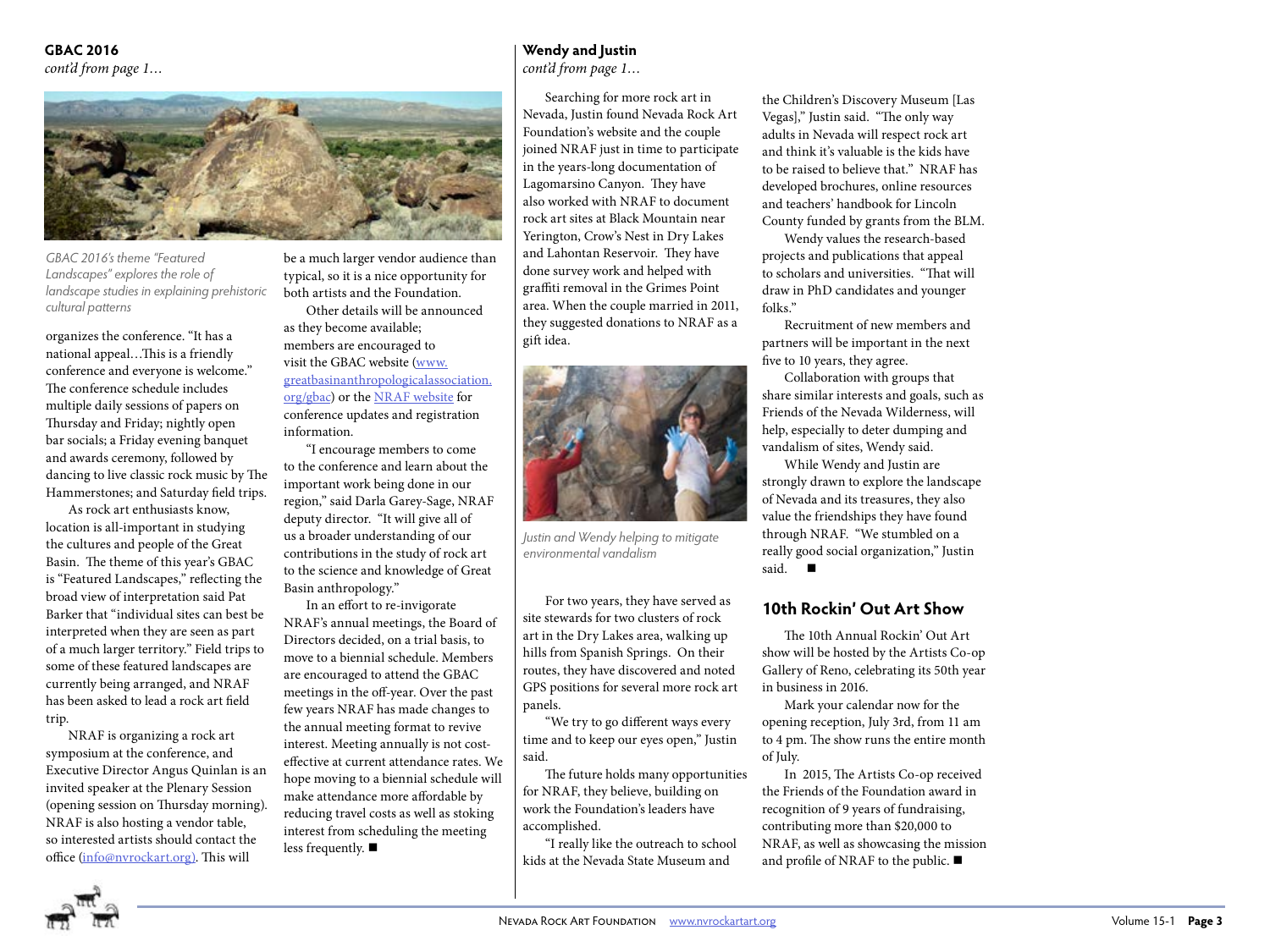#### <span id="page-2-0"></span>**GBAC 2016** *cont'd from page 1…*



*GBAC 2016's theme "Featured Landscapes" explores the role of landscape studies in explaining prehistoric cultural patterns* 

organizes the conference. "It has a national appeal…This is a friendly conference and everyone is welcome." The conference schedule includes multiple daily sessions of papers on Thursday and Friday; nightly open bar socials; a Friday evening banquet and awards ceremony, followed by dancing to live classic rock music by The Hammerstones; and Saturday field trips.

As rock art enthusiasts know, location is all-important in studying the cultures and people of the Great Basin. The theme of this year's GBAC is "Featured Landscapes," reflecting the broad view of interpretation said Pat Barker that "individual sites can best be interpreted when they are seen as part of a much larger territory." Field trips to some of these featured landscapes are currently being arranged, and NRAF has been asked to lead a rock art field trip.

NRAF is organizing a rock art symposium at the conference, and Executive Director Angus Quinlan is an invited speaker at the Plenary Session (opening session on Thursday morning). NRAF is also hosting a vendor table, so interested artists should contact the office [\(info@nvrockart.org\).](mailto:info@nvrockart.org)) This will

be a much larger vendor audience than typical, so it is a nice opportunity for both artists and the Foundation.

Other details will be announced as they become available; members are encouraged to visit the GBAC website [\(www.](http://greatbasinanthropologicalassociation.org/gbac) [greatbasinanthropologicalassociation.](http://greatbasinanthropologicalassociation.org/gbac) [org/gbac\)](http://greatbasinanthropologicalassociation.org/gbac) or the [NRAF website](http://nvrockart.org/) for conference updates and registration information.

"I encourage members to come to the conference and learn about the important work being done in our region," said Darla Garey-Sage, NRAF deputy director. "It will give all of us a broader understanding of our contributions in the study of rock art to the science and knowledge of Great Basin anthropology."

In an effort to re-invigorate NRAF's annual meetings, the Board of Directors decided, on a trial basis, to move to a biennial schedule. Members are encouraged to attend the GBAC meetings in the off-year. Over the past few years NRAF has made changes to the annual meeting format to revive interest. Meeting annually is not costeffective at current attendance rates. We hope moving to a biennial schedule will make attendance more affordable by reducing travel costs as well as stoking interest from scheduling the meeting less frequently.  $\blacksquare$ 

### **Wendy and Justin**

*cont'd from page 1…*

Searching for more rock art in Nevada, Justin found Nevada Rock Art Foundation's website and the couple joined NRAF just in time to participate in the years-long documentation of Lagomarsino Canyon. They have also worked with NRAF to document rock art sites at Black Mountain near Yerington, Crow's Nest in Dry Lakes and Lahontan Reservoir. They have done survey work and helped with graffiti removal in the Grimes Point area. When the couple married in 2011, they suggested donations to NRAF as a gift idea.



*Justin and Wendy helping to mitigate environmental vandalism*

For two years, they have served as site stewards for two clusters of rock art in the Dry Lakes area, walking up hills from Spanish Springs. On their routes, they have discovered and noted GPS positions for several more rock art panels.

"We try to go different ways every time and to keep our eyes open," Justin said.

The future holds many opportunities for NRAF, they believe, building on work the Foundation's leaders have accomplished.

"I really like the outreach to school kids at the Nevada State Museum and

the Children's Discovery Museum [Las Vegas]," Justin said. "The only way adults in Nevada will respect rock art and think it's valuable is the kids have to be raised to believe that." NRAF has developed brochures, online resources and teachers' handbook for Lincoln County funded by grants from the BLM.

Wendy values the research-based projects and publications that appeal to scholars and universities. "That will draw in PhD candidates and younger folks."

Recruitment of new members and partners will be important in the next five to 10 years, they agree.

Collaboration with groups that share similar interests and goals, such as Friends of the Nevada Wilderness, will help, especially to deter dumping and vandalism of sites, Wendy said.

While Wendy and Justin are strongly drawn to explore the landscape of Nevada and its treasures, they also value the friendships they have found through NRAF. "We stumbled on a really good social organization," Justin said.  $\blacksquare$ 

#### **10th Rockin' Out Art Show**

The 10th Annual Rockin' Out Art show will be hosted by the Artists Co-op Gallery of Reno, celebrating its 50th year in business in 2016.

Mark your calendar now for the opening reception, July 3rd, from 11 am to 4 pm. The show runs the entire month of July.

In 2015, The Artists Co-op received the Friends of the Foundation award in recognition of 9 years of fundraising, contributing more than \$20,000 to NRAF, as well as showcasing the mission and profile of NRAF to the public.  $\blacksquare$